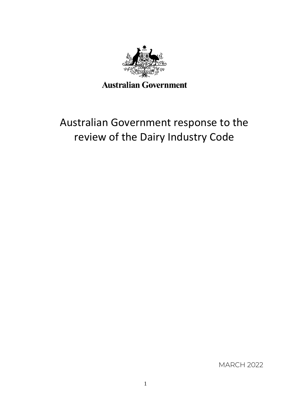

# Australian Government response to the review of the Dairy Industry Code

MARCH 2022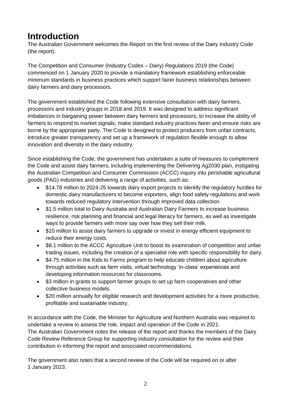## **Introduction**

The Australian Government welcomes the Report on the first review of the Dairy Industry Code (the report).

The Competition and Consumer (Industry Codes – Dairy) Regulations 2019 (the Code) commenced on 1 January 2020 to provide a mandatory framework establishing enforceable minimum standards in business practices which support fairer business relationships between dairy farmers and dairy processors.

The government established the Code following extensive consultation with dairy farmers, processors and industry groups in 2018 and 2019. It was designed to address significant imbalances in bargaining power between dairy farmers and processors, to increase the ability of farmers to respond to market signals, make standard industry practices fairer and ensure risks are borne by the appropriate party. The Code is designed to protect producers from unfair contracts, introduce greater transparency and set up a framework of regulation flexible enough to allow innovation and diversity in the dairy industry.

Since establishing the Code, the government has undertaken a suite of measures to complement the Code and assist dairy farmers, including implementing the Delivering Ag2030 plan, instigating the Australian Competition and Consumer Commission (ACCC) inquiry into perishable agricultural goods (PAG) industries and delivering a range of activities, such as:

- \$14.78 million to 2024-25 towards dairy export projects to identify the regulatory hurdles for domestic dairy manufacturers to become exporters, align food safety regulations and work towards reduced regulatory intervention through improved data collection.
- \$1.5 million total to Dairy Australia and Australian Dairy Farmers to increase business resilience, risk planning and financial and legal literacy for farmers, as well as investigate ways to provide farmers with more say over how they sell their milk.
- \$10 million to assist dairy farmers to upgrade or invest in energy efficient equipment to reduce their energy costs.
- \$8.1 million to the ACCC Agriculture Unit to boost its examination of competition and unfair trading issues, including the creation of a specialist role with specific responsibility for dairy.
- \$4.75 million in the Kids to Farms program to help educate children about agriculture through activities such as farm visits, virtual technology 'in-class' experiences and developing information resources for classrooms.
- \$3 million in grants to support farmer groups to set up farm cooperatives and other collective business models.
- \$20 million annually for eligible research and development activities for a more productive, profitable and sustainable industry.

In accordance with the Code, the Minister for Agriculture and Northern Australia was required to undertake a review to assess the role, impact and operation of the Code in 2021. The Australian Government notes the release of the report and thanks the members of the Dairy Code Review Reference Group for supporting industry consultation for the review and their contribution in informing the report and associated recommendations.

The government also notes that a second review of the Code will be required on or after 1 January 2023.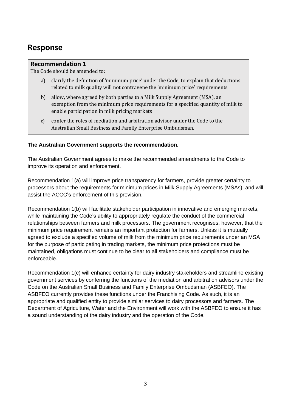### **Response**

#### **Recommendation 1**

The Code should be amended to:

- a) clarify the definition of 'minimum price' under the Code, to explain that deductions related to milk quality will not contravene the 'minimum price' requirements
- b) allow, where agreed by both parties to a Milk Supply Agreement (MSA), an exemption from the minimum price requirements for a specified quantity of milk to enable participation in milk pricing markets
- c) confer the roles of mediation and arbitration advisor under the Code to the Australian Small Business and Family Enterprise Ombudsman.

#### **The Australian Government supports the recommendation.**

The Australian Government agrees to make the recommended amendments to the Code to improve its operation and enforcement.

Recommendation 1(a) will improve price transparency for farmers, provide greater certainty to processors about the requirements for minimum prices in Milk Supply Agreements (MSAs), and will assist the ACCC's enforcement of this provision.

Recommendation 1(b) will facilitate stakeholder participation in innovative and emerging markets, while maintaining the Code's ability to appropriately regulate the conduct of the commercial relationships between farmers and milk processors. The government recognises, however, that the minimum price requirement remains an important protection for farmers. Unless it is mutually agreed to exclude a specified volume of milk from the minimum price requirements under an MSA for the purpose of participating in trading markets, the minimum price protections must be maintained, obligations must continue to be clear to all stakeholders and compliance must be enforceable.

Recommendation 1(c) will enhance certainty for dairy industry stakeholders and streamline existing government services by conferring the functions of the mediation and arbitration advisors under the Code on the Australian Small Business and Family Enterprise Ombudsman (ASBFEO). The ASBFEO currently provides these functions under the Franchising Code. As such, it is an appropriate and qualified entity to provide similar services to dairy processors and farmers. The Department of Agriculture, Water and the Environment will work with the ASBFEO to ensure it has a sound understanding of the dairy industry and the operation of the Code.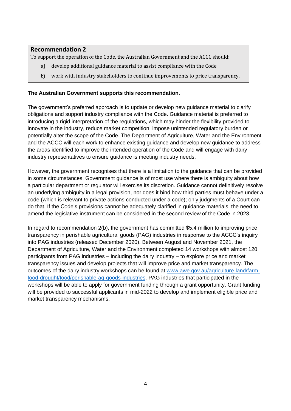#### **Recommendation 2**

To support the operation of the Code, the Australian Government and the ACCC should:

- a) develop additional guidance material to assist compliance with the Code
- b) work with industry stakeholders to continue improvements to price transparency.

#### **The Australian Government supports this recommendation.**

The government's preferred approach is to update or develop new guidance material to clarify obligations and support industry compliance with the Code. Guidance material is preferred to introducing a rigid interpretation of the regulations, which may hinder the flexibility provided to innovate in the industry, reduce market competition, impose unintended regulatory burden or potentially alter the scope of the Code. The Department of Agriculture, Water and the Environment and the ACCC will each work to enhance existing guidance and develop new guidance to address the areas identified to improve the intended operation of the Code and will engage with dairy industry representatives to ensure guidance is meeting industry needs.

However, the government recognises that there is a limitation to the guidance that can be provided in some circumstances. Government guidance is of most use where there is ambiguity about how a particular department or regulator will exercise its discretion. Guidance cannot definitively resolve an underlying ambiguity in a legal provision, nor does it bind how third parties must behave under a code (which is relevant to private actions conducted under a code); only judgments of a Court can do that. If the Code's provisions cannot be adequately clarified in guidance materials, the need to amend the legislative instrument can be considered in the second review of the Code in 2023.

In regard to recommendation 2(b), the government has committed \$5.4 million to improving price transparency in perishable agricultural goods (PAG) industries in response to the ACCC's inquiry into PAG industries (released December 2020). Between August and November 2021, the Department of Agriculture, Water and the Environment completed 14 workshops with almost 120 participants from PAG industries – including the dairy industry – to explore price and market transparency issues and develop projects that will improve price and market transparency. The outcomes of the dairy industry workshops can be found at [www.awe.gov.au/agriculture-land/farm](http://www.awe.gov.au/agriculture-land/farm-food-drought/food/perishable-ag-goods-industries)[food-drought/food/perishable-ag-goods-industries.](http://www.awe.gov.au/agriculture-land/farm-food-drought/food/perishable-ag-goods-industries) PAG industries that participated in the workshops will be able to apply for government funding through a grant opportunity. Grant funding will be provided to successful applicants in mid-2022 to develop and implement eligible price and market transparency mechanisms.